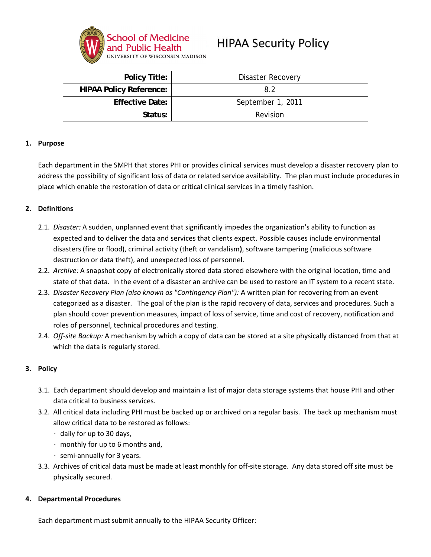

# **HIPAA Security Policy**

| <b>Policy Title:</b>           | Disaster Recovery |
|--------------------------------|-------------------|
| <b>HIPAA Policy Reference:</b> | 82                |
| <b>Effective Date:</b>         | September 1, 2011 |
| Status:                        | Revision          |

#### 1. Purpose

Each department in the SMPH that stores PHI or provides clinical services must develop a disaster recovery plan to address the possibility of significant loss of data or related service availability. The plan must include procedures in place which enable the restoration of data or critical clinical services in a timely fashion.

### 2. Definitions

- 2.1. Disaster: A sudden, unplanned event that significantly impedes the organization's ability to function as expected and to deliver the data and services that clients expect. Possible causes include environmental disasters (fire or flood), criminal activity (theft or vandalism), software tampering (malicious software destruction or data theft), and unexpected loss of personnel.
- 2.2. Archive: A snapshot copy of electronically stored data stored elsewhere with the original location, time and state of that data. In the event of a disaster an archive can be used to restore an IT system to a recent state.
- 2.3. Disaster Recovery Plan (also known as "Contingency Plan"): A written plan for recovering from an event categorized as a disaster. The goal of the plan is the rapid recovery of data, services and procedures. Such a plan should cover prevention measures, impact of loss of service, time and cost of recovery, notification and roles of personnel, technical procedures and testing.
- 2.4. Off-site Backup: A mechanism by which a copy of data can be stored at a site physically distanced from that at which the data is regularly stored.

## 3. Policy

- 3.1. Each department should develop and maintain a list of major data storage systems that house PHI and other data critical to business services.
- 3.2. All critical data including PHI must be backed up or archived on a regular basis. The back up mechanism must allow critical data to be restored as follows:
	- daily for up to 30 days,
	- $\cdot$  monthly for up to 6 months and,
	- $\cdot$  semi-annually for 3 years.
- 3.3. Archives of critical data must be made at least monthly for off-site storage. Any data stored off site must be physically secured.

#### **Departmental Procedures** 4.

Each department must submit annually to the HIPAA Security Officer: